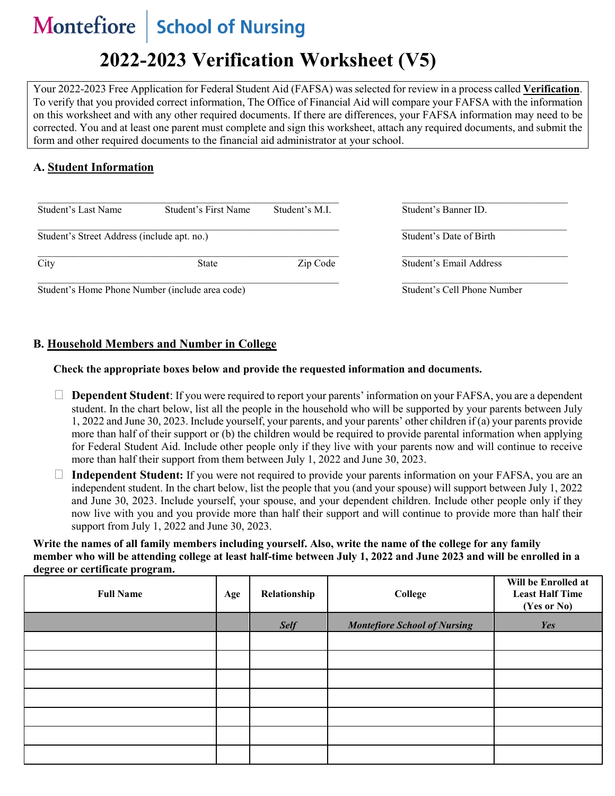#### **Montefiore** School of Nursing

# **2022-2023 Verification Worksheet (V5)**

Your 2022-2023 Free Application for Federal Student Aid (FAFSA) was selected for review in a process called **Verification**. To verify that you provided correct information, The Office of Financial Aid will compare your FAFSA with the information on this worksheet and with any other required documents. If there are differences, your FAFSA information may need to be corrected. You and at least one parent must complete and sign this worksheet, attach any required documents, and submit the form and other required documents to the financial aid administrator at your school.

#### **A. Student Information**

| Student's Last Name                             | Student's First Name | Student's M.I. | Student's Banner ID.        |
|-------------------------------------------------|----------------------|----------------|-----------------------------|
| Student's Street Address (include apt. no.)     |                      |                | Student's Date of Birth     |
| City                                            | <b>State</b>         | Zip Code       | Student's Email Address     |
| Student's Home Phone Number (include area code) |                      |                | Student's Cell Phone Number |

dent's Home Phone Number (include area code)

#### **B. Household Members and Number in College**

#### **Check the appropriate boxes below and provide the requested information and documents.**

- **Dependent Student**: If you were required to report your parents' information on your FAFSA, you are a dependent student. In the chart below, list all the people in the household who will be supported by your parents between July 1, 2022 and June 30, 2023. Include yourself, your parents, and your parents' other children if (a) your parents provide more than half of their support or (b) the children would be required to provide parental information when applying for Federal Student Aid. Include other people only if they live with your parents now and will continue to receive more than half their support from them between July 1, 2022 and June 30, 2023.
- **Independent Student:** If you were not required to provide your parents information on your FAFSA, you are an independent student. In the chart below, list the people that you (and your spouse) will support between July 1, 2022 and June 30, 2023. Include yourself, your spouse, and your dependent children. Include other people only if they now live with you and you provide more than half their support and will continue to provide more than half their support from July 1, 2022 and June 30, 2023.

**Write the names of all family members including yourself. Also, write the name of the college for any family member who will be attending college at least half-time between July 1, 2022 and June 2023 and will be enrolled in a degree or certificate program.**

| <b>Full Name</b> | Age | Relationship | College                             | Will be Enrolled at<br><b>Least Half Time</b><br>(Yes or No) |
|------------------|-----|--------------|-------------------------------------|--------------------------------------------------------------|
|                  |     | <b>Self</b>  | <b>Montefiore School of Nursing</b> | Yes                                                          |
|                  |     |              |                                     |                                                              |
|                  |     |              |                                     |                                                              |
|                  |     |              |                                     |                                                              |
|                  |     |              |                                     |                                                              |
|                  |     |              |                                     |                                                              |
|                  |     |              |                                     |                                                              |
|                  |     |              |                                     |                                                              |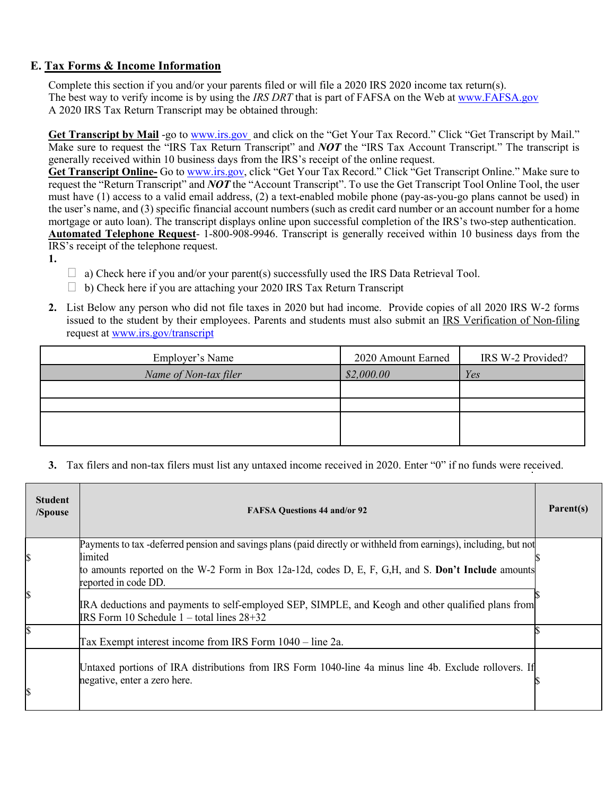## **E. Tax Forms & Income Information**

Complete this section if you and/or your parents filed or will file a 2020 IRS 2020 income tax return(s). The best way to verify income is by using the *IRS DRT* that is part of FAFSA on the Web at [www.FAFSA.gov](http://www.fafsa.gov/) A 2020 IRS Tax Return Transcript may be obtained through:

**Get Transcript by Mail** -go to [www.irs.gov](http://www.irs.gov/) and click on the "Get Your Tax Record." Click "Get Transcript by Mail." Make sure to request the "IRS Tax Return Transcript" and *NOT* the "IRS Tax Account Transcript." The transcript is generally received within 10 business days from the IRS's receipt of the online request.

**Get Transcript Online-** Go to [www.irs.gov,](http://www.irs.gov/) click "Get Your Tax Record." Click "Get Transcript Online." Make sure to request the "Return Transcript" and *NOT* the "Account Transcript". To use the Get Transcript Tool Online Tool, the user must have (1) access to a valid email address, (2) a text-enabled mobile phone (pay-as-you-go plans cannot be used) in the user's name, and (3) specific financial account numbers (such as credit card number or an account number for a home mortgage or auto loan). The transcript displays online upon successful completion of the IRS's two-step authentication. **Automated Telephone Request**- 1-800-908-9946. Transcript is generally received within 10 business days from the

IRS's receipt of the telephone request.

- **1.**
- $\Box$  a) Check here if you and/or your parent(s) successfully used the IRS Data Retrieval Tool.
- $\Box$  b) Check here if you are attaching your 2020 IRS Tax Return Transcript
- **2.** List Below any person who did not file taxes in 2020 but had income. Provide copies of all 2020 IRS W-2 forms issued to the student by their employees. Parents and students must also submit an IRS Verification of Non-filing request at [www.irs.gov/transcript](http://www.irs.gov/transcript)

| Employer's Name       | 2020 Amount Earned | IRS W-2 Provided? |
|-----------------------|--------------------|-------------------|
| Name of Non-tax filer | \$2,000.00         | Yes               |
|                       |                    |                   |
|                       |                    |                   |
|                       |                    |                   |
|                       |                    |                   |

**3.** Tax filers and non-tax filers must list any untaxed income received in 2020. Enter "0" if no funds were received.

| <b>Student</b><br>/Spouse | <b>FAFSA Questions 44 and/or 92</b>                                                                                                                  | Parent(s) |
|---------------------------|------------------------------------------------------------------------------------------------------------------------------------------------------|-----------|
| \$                        | Payments to tax -deferred pension and savings plans (paid directly or withheld from earnings), including, but not<br>limited                         |           |
|                           | to amounts reported on the W-2 Form in Box 12a-12d, codes D, E, F, G, H, and S. Don't Include amounts<br>reported in code DD.                        |           |
| \$                        | IRA deductions and payments to self-employed SEP, SIMPLE, and Keogh and other qualified plans from<br>IRS Form 10 Schedule $1 -$ total lines $28+32$ |           |
|                           | Tax Exempt interest income from IRS Form 1040 – line 2a.                                                                                             |           |
| \$                        | Untaxed portions of IRA distributions from IRS Form 1040-line 4a minus line 4b. Exclude rollovers. If<br>negative, enter a zero here.                |           |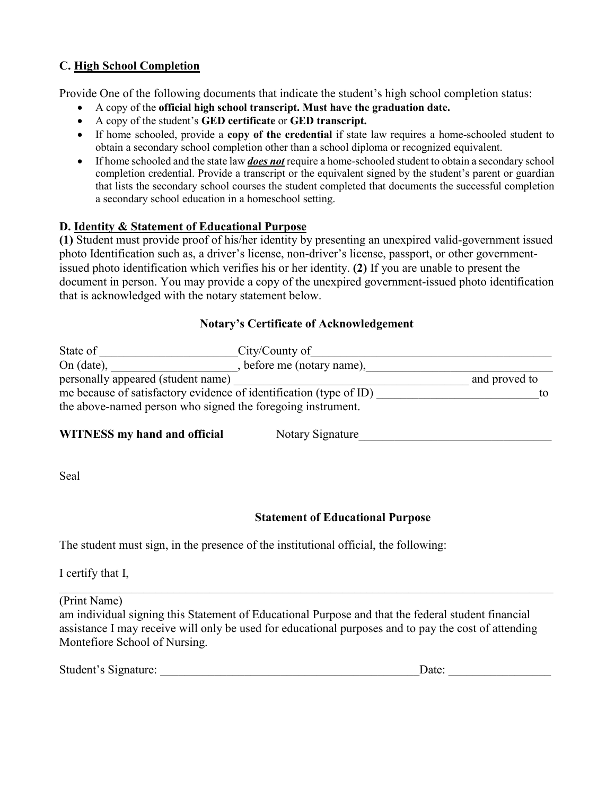# **C. High School Completion**

Provide One of the following documents that indicate the student's high school completion status:

- A copy of the **official high school transcript. Must have the graduation date.**
- A copy of the student's **GED certificate** or **GED transcript.**
- If home schooled, provide a **copy of the credential** if state law requires a home-schooled student to obtain a secondary school completion other than a school diploma or recognized equivalent.
- If home schooled and the state law *does not* require a home-schooled student to obtain a secondary school completion credential. Provide a transcript or the equivalent signed by the student's parent or guardian that lists the secondary school courses the student completed that documents the successful completion a secondary school education in a homeschool setting.

## **D. Identity & Statement of Educational Purpose**

**(1)** Student must provide proof of his/her identity by presenting an unexpired valid-government issued photo Identification such as, a driver's license, non-driver's license, passport, or other governmentissued photo identification which verifies his or her identity. **(2)** If you are unable to present the document in person. You may provide a copy of the unexpired government-issued photo identification that is acknowledged with the notary statement below.

## **Notary's Certificate of Acknowledgement**

| State of                                                                                                                          | City/County of             |               |
|-----------------------------------------------------------------------------------------------------------------------------------|----------------------------|---------------|
| On $(data)$ ,                                                                                                                     | , before me (notary name), |               |
| personally appeared (student name)                                                                                                |                            | and proved to |
| me because of satisfactory evidence of identification (type of ID)<br>the above-named person who signed the foregoing instrument. |                            |               |
| WITNESS my hand and official                                                                                                      | Notory Signatura           |               |

**WITNESS my hand and official** Notary Signature

Seal

# **Statement of Educational Purpose**

The student must sign, in the presence of the institutional official, the following:

I certify that I,

(Print Name)

am individual signing this Statement of Educational Purpose and that the federal student financial assistance I may receive will only be used for educational purposes and to pay the cost of attending Montefiore School of Nursing.

| Student's Signature: |  |
|----------------------|--|
|                      |  |